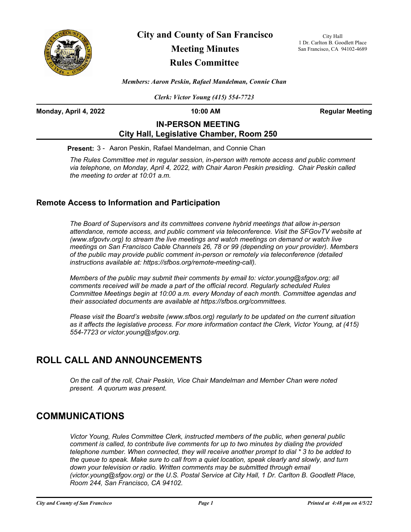

**City and County of San Francisco Meeting Minutes Rules Committee**

City Hall 1 Dr. Carlton B. Goodlett Place San Francisco, CA 94102-4689

*Members: Aaron Peskin, Rafael Mandelman, Connie Chan*

*Clerk: Victor Young (415) 554-7723*

**Monday, April 4, 2022 10:00 AM Regular Meeting**

## **IN-PERSON MEETING City Hall, Legislative Chamber, Room 250**

**Present:** 3 - Aaron Peskin, Rafael Mandelman, and Connie Chan

*The Rules Committee met in regular session, in-person with remote access and public comment via telephone, on Monday, April 4, 2022, with Chair Aaron Peskin presiding. Chair Peskin called the meeting to order at 10:01 a.m.*

## **Remote Access to Information and Participation**

*The Board of Supervisors and its committees convene hybrid meetings that allow in-person attendance, remote access, and public comment via teleconference. Visit the SFGovTV website at (www.sfgovtv.org) to stream the live meetings and watch meetings on demand or watch live meetings on San Francisco Cable Channels 26, 78 or 99 (depending on your provider). Members of the public may provide public comment in-person or remotely via teleconference (detailed instructions available at: https://sfbos.org/remote-meeting-call).* 

*Members of the public may submit their comments by email to: victor.young@sfgov.org; all comments received will be made a part of the official record. Regularly scheduled Rules Committee Meetings begin at 10:00 a.m. every Monday of each month. Committee agendas and their associated documents are available at https://sfbos.org/committees.*

*Please visit the Board's website (www.sfbos.org) regularly to be updated on the current situation as it affects the legislative process. For more information contact the Clerk, Victor Young, at (415) 554-7723 or victor.young@sfgov.org.*

# **ROLL CALL AND ANNOUNCEMENTS**

*On the call of the roll, Chair Peskin, Vice Chair Mandelman and Member Chan were noted present. A quorum was present.*

## **COMMUNICATIONS**

*Victor Young, Rules Committee Clerk, instructed members of the public, when general public comment is called, to contribute live comments for up to two minutes by dialing the provided telephone number. When connected, they will receive another prompt to dial \* 3 to be added to the queue to speak. Make sure to call from a quiet location, speak clearly and slowly, and turn*  down your television or radio. Written comments may be submitted through email *(victor.young@sfgov.org) or the U.S. Postal Service at City Hall, 1 Dr. Carlton B. Goodlett Place, Room 244, San Francisco, CA 94102.*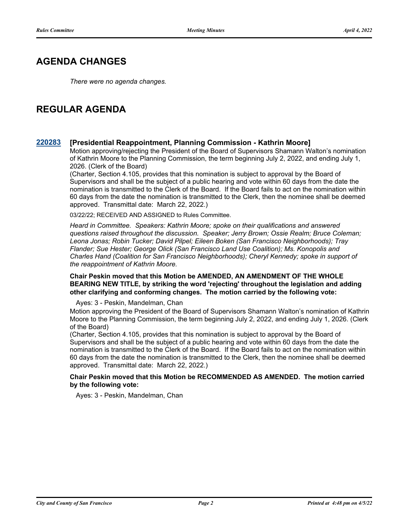## **AGENDA CHANGES**

*There were no agenda changes.*

# **REGULAR AGENDA**

### **[220283](http://sfgov.legistar.com/gateway.aspx?m=l&id=38475) [Presidential Reappointment, Planning Commission - Kathrin Moore]**

Motion approving/rejecting the President of the Board of Supervisors Shamann Walton's nomination of Kathrin Moore to the Planning Commission, the term beginning July 2, 2022, and ending July 1, 2026. (Clerk of the Board)

(Charter, Section 4.105, provides that this nomination is subject to approval by the Board of Supervisors and shall be the subject of a public hearing and vote within 60 days from the date the nomination is transmitted to the Clerk of the Board. If the Board fails to act on the nomination within 60 days from the date the nomination is transmitted to the Clerk, then the nominee shall be deemed approved. Transmittal date: March 22, 2022.)

03/22/22; RECEIVED AND ASSIGNED to Rules Committee.

*Heard in Committee. Speakers: Kathrin Moore; spoke on their qualifications and answered questions raised throughout the discussion. Speaker; Jerry Brown; Ossie Realm; Bruce Coleman; Leona Jonas; Robin Tucker; David Pilpel; Eileen Boken (San Francisco Neighborhoods); Tray Flander; Sue Hester; George Olick (San Francisco Land Use Coalition); Ms. Konopolis and Charles Hand (Coalition for San Francisco Neighborhoods); Cheryl Kennedy; spoke in support of the reappointment of Kathrin Moore.*

**Chair Peskin moved that this Motion be AMENDED, AN AMENDMENT OF THE WHOLE BEARING NEW TITLE, by striking the word 'rejecting' throughout the legislation and adding other clarifying and conforming changes. The motion carried by the following vote:**

Ayes: 3 - Peskin, Mandelman, Chan

Motion approving the President of the Board of Supervisors Shamann Walton's nomination of Kathrin Moore to the Planning Commission, the term beginning July 2, 2022, and ending July 1, 2026. (Clerk of the Board)

(Charter, Section 4.105, provides that this nomination is subject to approval by the Board of Supervisors and shall be the subject of a public hearing and vote within 60 days from the date the nomination is transmitted to the Clerk of the Board. If the Board fails to act on the nomination within 60 days from the date the nomination is transmitted to the Clerk, then the nominee shall be deemed approved. Transmittal date: March 22, 2022.)

### **Chair Peskin moved that this Motion be RECOMMENDED AS AMENDED. The motion carried by the following vote:**

Ayes: 3 - Peskin, Mandelman, Chan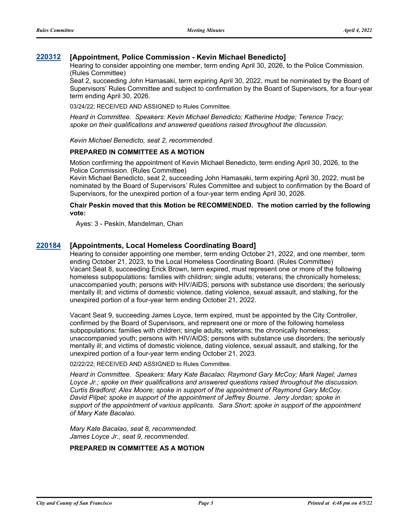### **[220312](http://sfgov.legistar.com/gateway.aspx?m=l&id=38504) [Appointment, Police Commission - Kevin Michael Benedicto]**

Hearing to consider appointing one member, term ending April 30, 2026, to the Police Commission. (Rules Committee)

Seat 2, succeeding John Hamasaki, term expiring April 30, 2022, must be nominated by the Board of Supervisors' Rules Committee and subject to confirmation by the Board of Supervisors, for a four-year term ending April 30, 2026.

03/24/22; RECEIVED AND ASSIGNED to Rules Committee.

*Heard in Committee. Speakers: Kevin Michael Benedicto; Katherine Hodge; Terence Tracy; spoke on their qualifications and answered questions raised throughout the discussion.*

*Kevin Michael Benedicto, seat 2, recommended.*

#### **PREPARED IN COMMITTEE AS A MOTION**

Motion confirming the appointment of Kevin Michael Benedicto, term ending April 30, 2026, to the Police Commission. (Rules Committee)

Kevin Michael Benedicto, seat 2, succeeding John Hamasaki, term expiring April 30, 2022, must be nominated by the Board of Supervisors' Rules Committee and subject to confirmation by the Board of Supervisors, for the unexpired portion of a four-year term ending April 30, 2026.

#### **Chair Peskin moved that this Motion be RECOMMENDED. The motion carried by the following vote:**

Ayes: 3 - Peskin, Mandelman, Chan

### **[220184](http://sfgov.legistar.com/gateway.aspx?m=l&id=38379) [Appointments, Local Homeless Coordinating Board]**

Hearing to consider appointing one member, term ending October 21, 2022, and one member, term ending October 21, 2023, to the Local Homeless Coordinating Board. (Rules Committee) Vacant Seat 8, succeeding Erick Brown, term expired, must represent one or more of the following homeless subpopulations: families with children; single adults; veterans; the chronically homeless; unaccompanied youth; persons with HIV/AIDS; persons with substance use disorders; the seriously mentally ill; and victims of domestic violence, dating violence, sexual assault, and stalking, for the unexpired portion of a four-year term ending October 21, 2022.

Vacant Seat 9, succeeding James Loyce, term expired, must be appointed by the City Controller, confirmed by the Board of Supervisors, and represent one or more of the following homeless subpopulations: families with children; single adults; veterans; the chronically homeless; unaccompanied youth; persons with HIV/AIDS; persons with substance use disorders; the seriously mentally ill; and victims of domestic violence, dating violence, sexual assault, and stalking, for the unexpired portion of a four-year term ending October 21, 2023.

02/22/22; RECEIVED AND ASSIGNED to Rules Committee.

*Heard in Committee. Speakers: Mary Kate Bacalao; Raymond Gary McCoy; Mark Nagel; James Loyce Jr.; spoke on their qualifications and answered questions raised throughout the discussion. Curtis Bradford; Alex Moore; spoke in support of the appointment of Raymond Gary McCoy. David Pilpel; spoke in support of the appointment of Jeffrey Bourne. Jerry Jordan; spoke in support of the appointment of various applicants. Sara Short; spoke in support of the appointment of Mary Kate Bacalao.*

*Mary Kate Bacalao, seat 8, recommended. James Loyce Jr., seat 9, recommended.*

#### **PREPARED IN COMMITTEE AS A MOTION**